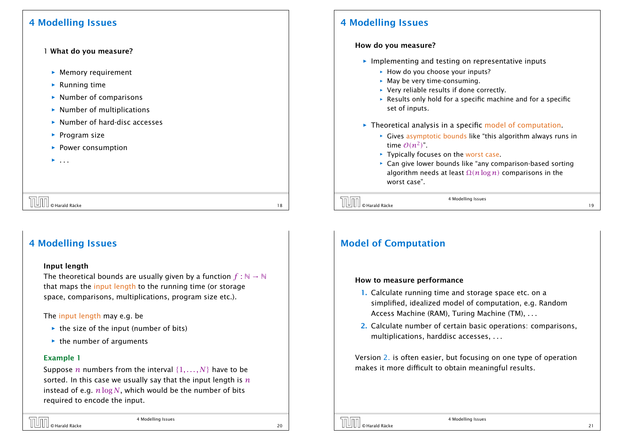### 4 Modelling Issues

#### 1 What do you measure?

- **EX** Memory requirement
- **F** Running time
- $\rightarrow$  Number of comparisons
- $\rightarrow$  Number of multiplications
- **Number of hard-disc accesses**
- **Program size**
- **Power consumption**
- *ñ* . . .

### 4 Modelling Issues

#### Input length

The theoretical bounds are usually given by a function  $f : \mathbb{N} \to \mathbb{N}$ that maps the input length to the running time (or storage space, comparisons, multiplications, program size etc.).

The input length may e.g. be

- ▶ the size of the input (number of bits)
- $\rightarrow$  the number of arguments

#### Example 1

Suppose *n* numbers from the interval {1*, . . . , N*} have to be sorted. In this case we usually say that the input length is *n* instead of e.g. *n* log *N*, which would be the number of bits required to encode the input.

| <b>TUTT</b> © Harald Räcke | 4 Modelling Issues |  |
|----------------------------|--------------------|--|
|                            |                    |  |

## 4 Modelling Issues

#### How do you measure?

- $\triangleright$  Implementing and testing on representative inputs
	- **How do you choose your inputs?**
	- **May be very time-consuming.**
	- ▶ Very reliable results if done correctly.
	- **Fig. 8** Results only hold for a specific machine and for a specific set of inputs.
- **Figure Theoretical analysis in a specific model of computation.** 
	- ► Gives asymptotic bounds like "this algorithm always runs in time  $O(n^2)$ ".
	- **► Typically focuses on the worst case.**
	- **Exam give lower bounds like "any comparison-based sorting"** algorithm needs at least Ω*(n* log *n)* comparisons in the worst case".

 $\boxed{\boxed{\boxed{\boxed{\boxed{\boxed{\boxed{\boxed{\boxed{\boxed{\boxed{\odot}}}}}}}$   $\odot$  Harald Räcke 19

4 Modelling Issues

# Model of Computation

#### How to measure performance

- 1. Calculate running time and storage space etc. on a simplified, idealized model of computation, e.g. Random Access Machine (RAM), Turing Machine (TM), . . .
- 2. Calculate number of certain basic operations: comparisons, multiplications, harddisc accesses, . . .

Version 2. is often easier, but focusing on one type of operation makes it more difficult to obtain meaningful results.

 $\overline{C}$  Marald Räcke 18 and  $\overline{C}$  18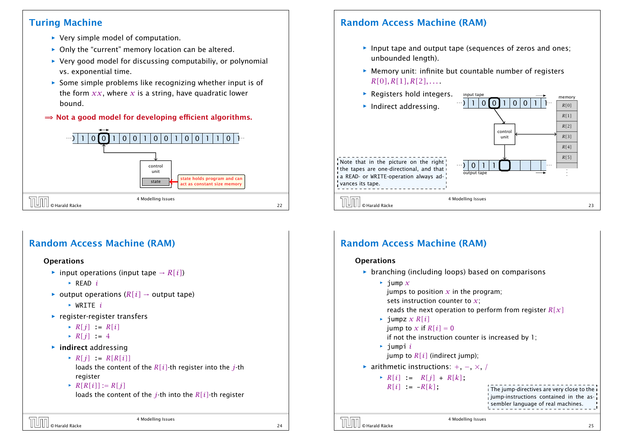# Turing Machine

- ▶ Very simple model of computation.
- ▶ Only the "current" memory location can be altered.
- **▶ Very good model for discussing computabiliy, or polynomial** vs. exponential time.
- **Fome simple problems like recognizing whether input is of** the form  $xx$ , where x is a string, have quadratic lower bound.
- $\Rightarrow$  Not a good model for developing efficient algorithms.



# Random Access Machine (RAM)

#### **Operations**

- $\triangleright$  input operations (input tape  $\rightarrow R[i]$ )
	- *<sup>ñ</sup>* READ *i*
- $\triangleright$  output operations ( $R[i] \rightarrow$  output tape)
	- *<sup>ñ</sup>* WRITE *i*
- **Figure 1** register-register transfers
	- $\triangleright R[j] := R[i]$
	- $\blacktriangleright R[i] = 4$
- $\blacktriangleright$  **indirect addressing** 
	- $\triangleright R[i] := R[R[i]]$

loads the content of the *R[i]*-th register into the *j*-th register

 $\triangleright R[R[i]] := R[j]$ 

loads the content of the *j*-th into the *R[i]*-th register

4 Modelling Issues © Harald Räcke 24

# Random Access Machine (RAM)

- **Input tape and output tape (sequences of zeros and ones;** unbounded length).
- **Memory unit: infinite but countable number of registers** *R[*0*], R[*1*], R[*2*], . . .* .
- **Follo Registers hold integers.**



input tape

# Random Access Machine (RAM)

#### **Operations**

 $\triangleright$  branching (including loops) based on comparisons  $\rightarrow$  jump  $\chi$ jumps to position  $x$  in the program; sets instruction counter to *x*; reads the next operation to perform from register *R[x]*  $\rightarrow$  *jumpz x R[i]* jump to x if  $R[i] = 0$ if not the instruction counter is increased by 1;  $\rightarrow$  jumpi *i* jump to  $R[i]$  (indirect jump); *<sup>ñ</sup>* arithmetic instructions: +, −, ×, */*  $\triangleright R[i] := R[j] + R[k]$ ;  $R[i]$  :  $-R[k]$ ; The jump-directives are very close to the jump-instructions contained in the assembler language of real machines.

4 Modelling Issues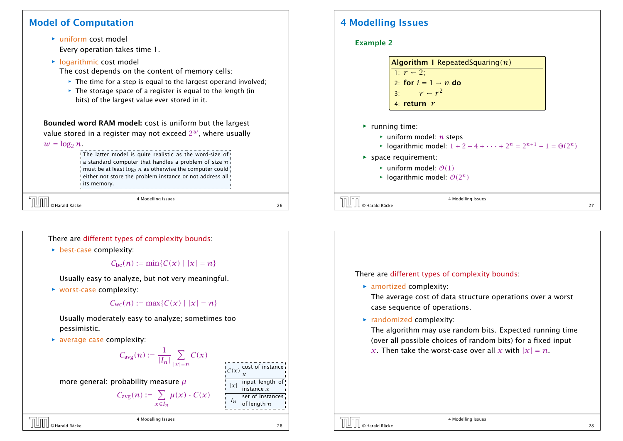## Model of Computation

*ñ* uniform cost model Every operation takes time 1.

**F** logarithmic cost model

The cost depends on the content of memory cells:

- **Fig. The time for a step is equal to the largest operand involved;**
- **Fig. 2** The storage space of a register is equal to the length (in bits) of the largest value ever stored in it.

Bounded word RAM model: cost is uniform but the largest value stored in a register may not exceed  $2^w$ , where usually

#### $w = \log_2 n$ .

#### The latter model is quite realistic as the word-size of  $\frac{1}{4}$  a standard computer that handles a problem of size  $n\frac{1}{4}$ must be at least  $\log_2 n$  as otherwise the computer could  $\frac{1}{2}$ either not store the problem instance or not address all i its memory.

© Harald Räcke 26

4 Modelling Issues

There are different types of complexity bounds:

**b** best-case complexity:

 $C_{\text{bc}}(n) := \min\{C(x) | |x| = n\}$ 

Usually easy to analyze, but not very meaningful.

▶ worst-case complexity:

$$
C_{\text{wc}}(n) := \max\{C(x) | |x| = n\}
$$

Usually moderately easy to analyze; sometimes too pessimistic.

▶ average case complexity:

$$
C_{\text{avg}}(n) := \frac{1}{|I_n|} \sum_{|x|=n} C(x)
$$

more general: probability measure *µ*

$$
C_{\text{avg}}(n) := \sum_{x \in I_n} \mu(x) \cdot C(x)
$$

4 Modelling Issues © Harald Räcke 28

 $C(x)$  cost of instance |*x*| input length of instance *x In* set of instances of length *n*

# 4 Modelling Issues

#### Example 2

| <b>Algorithm 1</b> Repeated Squaring $(n)$ |
|--------------------------------------------|
| 1: $r-2$ ;                                 |
| 2: for $i = 1 \rightarrow n$ do            |
| 3: $r - r^2$                               |
| 4: return $r$                              |

- ▶ running time:
	- *<sup>ñ</sup>* uniform model: *n* steps
	- $\blacktriangleright$  logarithmic model:  $1 + 2 + 4 + \cdots + 2^n = 2^{n+1} 1 = \Theta(2^n)$
- **For space requirement:** 
	- $\blacktriangleright$  uniform model:  $\theta(1)$
	- $\blacktriangleright$  logarithmic model:  $\mathcal{O}(2^n)$

 $\overline{O}$   $\overline{O}$   $\overline{O}$   $\overline{O}$   $\overline{O}$   $\overline{O}$   $\overline{O}$   $\overline{O}$   $\overline{O}$   $\overline{O}$   $\overline{O}$   $\overline{O}$   $\overline{O}$   $\overline{O}$   $\overline{O}$   $\overline{O}$   $\overline{O}$   $\overline{O}$   $\overline{O}$   $\overline{O}$   $\overline{O}$   $\overline{O}$   $\overline{O}$   $\overline{O}$   $\overline{$ 

4 Modelling Issues

#### There are different types of complexity bounds:

**F** amortized complexity:

The average cost of data structure operations over a worst case sequence of operations.

**Figure 2** randomized complexity:

The algorithm may use random bits. Expected running time (over all possible choices of random bits) for a fixed input *x*. Then take the worst-case over all *x* with  $|x| = n$ .